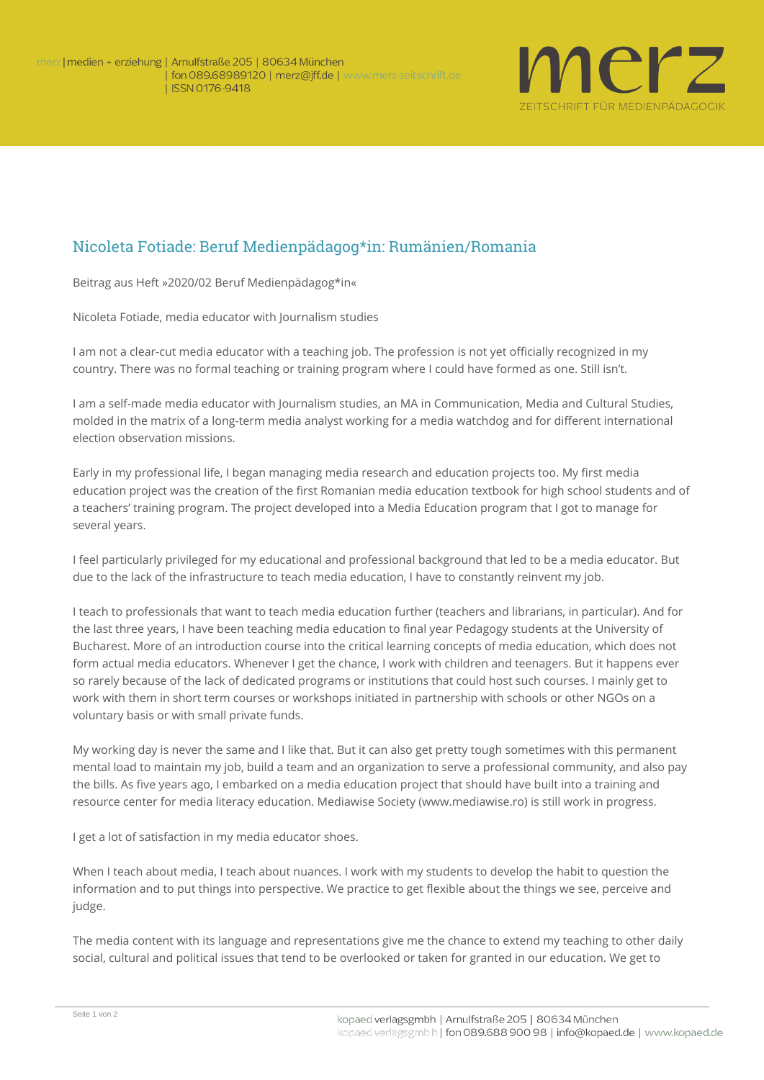

## Nicoleta Fotiade: Beruf Medienpädagog\*in: Rumänien/Romania

**Beitrag aus Heft »2020/02 Beruf Medienpädagog\*in«**

*Nicoleta Fotiade, media educator with Journalism studies* 

I am not a clear-cut media educator with a teaching job. The profession is not yet officially recognized in my country. There was no formal teaching or training program where I could have formed as one. Still isn't.

I am a self-made media educator with Journalism studies, an MA in Communication, Media and Cultural Studies, molded in the matrix of a long-term media analyst working for a media watchdog and for different international election observation missions.

Early in my professional life, I began managing media research and education projects too. My first media education project was the creation of the first Romanian media education textbook for high school students and of a teachers' training program. The project developed into a Media Education program that I got to manage for several years.

I feel particularly privileged for my educational and professional background that led to be a media educator. But due to the lack of the infrastructure to teach media education, I have to constantly reinvent my job.

I teach to professionals that want to teach media education further (teachers and librarians, in particular). And for the last three years, I have been teaching media education to final year Pedagogy students at the University of Bucharest. More of an introduction course into the critical learning concepts of media education, which does not form actual media educators. Whenever I get the chance, I work with children and teenagers. But it happens ever so rarely because of the lack of dedicated programs or institutions that could host such courses. I mainly get to work with them in short term courses or workshops initiated in partnership with schools or other NGOs on a voluntary basis or with small private funds.

My working day is never the same and I like that. But it can also get pretty tough sometimes with this permanent mental load to maintain my job, build a team and an organization to serve a professional community, and also pay the bills. As five years ago, I embarked on a media education project that should have built into a training and resource center for media literacy education. Mediawise Society (www.mediawise.ro) is still work in progress.

I get a lot of satisfaction in my media educator shoes.

When I teach about media, I teach about nuances. I work with my students to develop the habit to question the information and to put things into perspective. We practice to get flexible about the things we see, perceive and judge.

The media content with its language and representations give me the chance to extend my teaching to other daily social, cultural and political issues that tend to be overlooked or taken for granted in our education. We get to